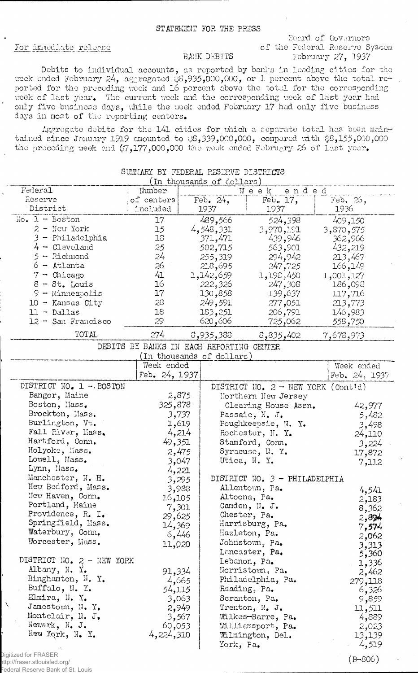### STATEMENT FOR THE PRESS

#### For immediate release

## Board of Governors of the Federal Reserve System February 27, 1937

#### BANK DEBITS

Debits to individual accounts, as reported by banks in leading cities for the week ended February 24, aggregated  $$3,935,000,000$ , or 1 percent above the total reported for the preceding week and 16 percent above the total for the corresponding veek of last year. The current week and the corresponding week of last year had only five business days, while the week ended February 17 had only five business days in most of the reporting centers.

Aggregate debits for the 141 cities for which a separate total has been maintained since January 1919 amounted to yS,339,000,000, compared rath \$8,155,000,000 the preceding week and  $\langle 7,177,000,000$  the week ended February 26 of last year.

| In thousands of dollars)    |                                          |                                 |                           |                                      |                    |
|-----------------------------|------------------------------------------|---------------------------------|---------------------------|--------------------------------------|--------------------|
| Federal                     | Number                                   | $\mathbbmss{W}}$ e e k<br>ended |                           |                                      |                    |
| Reserve                     | of centers                               | Feb. $24$ ,                     |                           | Feb. 17,                             | Feb. 26,           |
| District                    | included                                 |                                 | 1937                      | 1937                                 | 1936               |
| $No. 1 - Boston$            | 17                                       |                                 | 489,566                   | 524,398                              | 409,150            |
| $2 -$ New York              | 15                                       |                                 | 4,548,331                 | 3,970,191                            | 3,870,575          |
| 3 - Philadelphia            | 18                                       |                                 | 371,471                   | 439,946                              | 362,966            |
| $4 -$ Cleveland             | 25                                       |                                 | 502,715                   | 563,901                              | 432,219            |
| $5 -$ Richmond              | 24                                       |                                 | 255,319                   | 294,942                              | 213,467            |
| $6 -$ Atlanta               | 26                                       |                                 | 218,695                   | 247,725                              | 166,149            |
| $7 -$ Chicago               | 41                                       |                                 | 1,142,659                 | 1,192,450                            | 1,001,127          |
| $8 - St.$ Louis             | 16                                       |                                 | 222,326                   | 247,308                              | 186,098            |
| 9 - Minneapolis             | 17                                       |                                 | 130,858                   | 139,637                              | 117,716            |
| $10 -$ Kansas City          | 23                                       |                                 | 249,591                   | 277,051                              | 213,773            |
| $11 - Dallas$               | 18                                       |                                 | 183,251                   | 206,791                              |                    |
| 12 - San Francisco          | 29                                       |                                 | 620,606                   | 725,062                              | 146,983<br>558,750 |
|                             |                                          |                                 |                           |                                      |                    |
| TOTAL                       | 274                                      |                                 | 8,935,388                 | 8,835,402                            | 7,678,973          |
|                             | DEBITS BY BANKS IN EACH REPORTING CENTER |                                 |                           |                                      |                    |
|                             |                                          |                                 | (In thousands of dollars) |                                      |                    |
|                             | Week ended                               |                                 |                           |                                      | Week ended         |
|                             | Feb. 24, 1937                            |                                 |                           |                                      | Feb. 24, 1937      |
| DISTRICT NO. 1 -. BOSTON    |                                          |                                 |                           | DISTRICT NO. $2$ - NEW YORK (Cont'd) |                    |
| Bangor, Maine               | 2,875                                    |                                 |                           | Northern New Jersey                  |                    |
| Boston, Mass.               | 325,878                                  |                                 |                           | Clearing House Assn.                 | 42,977             |
| Brockton, Mass.             | 3,737                                    |                                 |                           | Passaic, N. J.                       | 5,482              |
| Burlington, Vt.             | 1,619                                    |                                 |                           | Poughkeepsie, N. Y.                  | 3,498              |
| Fall River, Mass.           | 4,214                                    |                                 |                           | Rochester, N. Y.                     | 24,110             |
| Hartford, Conn.             | 49,351                                   |                                 |                           | Stamford, Conn.                      | 3,224              |
| Holyoke, Mass.              | 2,475                                    |                                 |                           | Syracuse, N. Y.                      | 17,872             |
| Lowell, Mass.               | 3,047                                    |                                 |                           | Utica, N. Y.                         | 7,112              |
| Lynn, Mass.                 | 4,221                                    |                                 |                           |                                      |                    |
| Manchester, N. H.           | 3,295                                    |                                 |                           | DISTRICT NO. 3 - PHILADELPHIA        |                    |
| New Bedford, Mass.          | 3,988                                    |                                 |                           | Allentown, Pa.                       | 4,541              |
| New Haven, Conn.            | 16,105                                   |                                 |                           | Altoona, Pa.                         | 2,183              |
| Portland, Maine             | 7,301                                    |                                 |                           | Camden, N. J.                        | 8,362              |
| Providence, R. I.           | 29,625                                   |                                 |                           | Chester, Pa.                         | 2,894              |
| Springfield, Mass.          | 14,369                                   |                                 |                           | Harrisburg, Pa.                      | 7,574              |
| Waterbury, Conn.            | 6,446                                    |                                 |                           | Hazleton, Pa.                        | 2,062              |
| Worcester, Mass.            | 11,020                                   |                                 |                           | Johnstown, Pa.                       | 3,313              |
|                             |                                          |                                 |                           | Lancaster, Pa.                       | 5,360              |
| DISTRICT NO. $2 -$ NEW YORK |                                          |                                 |                           | Lebanon, Pa.                         | 1,336              |
| Albany, N. Y.               | 91,334                                   |                                 |                           | Norristown, Pa.                      | 2,462              |
| Binghamton, N. Y.           | 4,665                                    |                                 |                           | Philadelphia, Pa.                    | 279,118            |
| Buffalo, N. Y.              | 54,115                                   |                                 |                           | Reading, Pa.                         | 6,326              |
| Elmira, N. Y.               | 3,063                                    |                                 |                           | Scranton, Pa,                        | 9,859              |
| N<br>Jamestown, N. Y.       | 2,949                                    |                                 |                           | Trenton, N. J.                       | 11,511             |
| Montclair, N. J.            | 3,567                                    |                                 |                           | Wilkes-Barre, Pa.                    | 4,889              |
| Newark, N. J.               | 60,053                                   |                                 |                           | Williamsport, Pa.                    | 2,023              |
| New York, N. Y.             | 4,224,310                                |                                 |                           | Wilmington, Del.                     | 13,139             |
|                             |                                          |                                 | York, Pa.                 |                                      | 4,519              |
| Digitized for FRASER        |                                          |                                 |                           |                                      |                    |
|                             |                                          |                                 |                           |                                      | $(F-806)$          |

# SUMMARY BY FEDERAL RESERVE DISTRICTS

http://fraser.stlouisfed.org/

(B-806)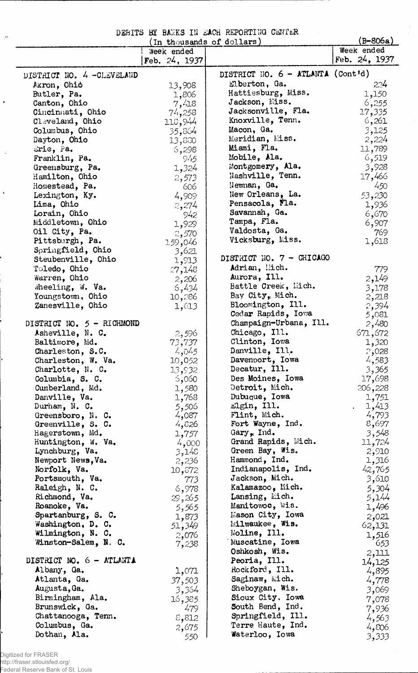DEBITS BY BANKS IN EACH REPORTING CENTER

| (In thousands of dollars)         |                 |                                              | $(B-806a)$     |
|-----------------------------------|-----------------|----------------------------------------------|----------------|
|                                   | Week ended      |                                              | Week ended     |
|                                   | Feb. $24, 1937$ |                                              | Feb. 24, 1937  |
| DISTRICT NO. 4 -CLEVELAND         |                 | DISTRICT NO. 6 - ATLANTA (Cont'd)            |                |
| Akron, Chio                       | 13,908          | Elberton, Ga.                                | 224            |
| Butler, Pa.                       | 1,806           | Hattiesburg, Miss.                           | 1,150          |
| Canton, Ohio                      | 7,418           | Jackson, Miss.                               | 6,255          |
| Cincinnati, Ohio                  | 74,258          | Jacksonville, Fla.                           | 17,335         |
| Cleveland, Ohio                   | 118,944         | Knoxville, Tenn.                             | 6,261          |
| Columbus, Ohio                    | 35,864          | Macon, Ga.                                   | 3,125          |
| Dayton, Ohio                      | 13,830          | Meridian, Miss.                              | 2,224          |
| Eric, Pa.                         | 6,298           | Miami, Fla.                                  | 11,789         |
| Franklin, Pa.                     | 945             | Mobile, Ala.                                 | 6,519          |
| Greensburg, Pa.                   | 1,324           | Montgomery, Ala.                             | 3,928          |
| Hamilton, Ohio                    | 2,573           | Nashville, Tenn.                             | 17,466         |
| Homestead, Pa.                    | 606             | Newnan, Ga.                                  | 450            |
| Lexington, Ky.                    | 4,909           | New Orleans, La.                             | 53,230         |
| Lima, Ohio                        | 2,274           | Pensacola, Fla.                              | 1,936          |
| Lorain, Ohio                      | 942             | Savannah, Ga.                                | 6,670          |
| Middletown, Ohio                  | 1,929           | Tampa, Fla.                                  | 6,907          |
| Oil City, Pa.                     | 2,570           | Valdosta, Ga.                                | 769            |
| Pittsburgh, Pa.                   | 1.59,046        | Vicksburg, Miss.                             | 1,618          |
| Springfield, Ohio                 | 3,621           |                                              |                |
| Steubenville, Ohio                | 1,913           | DISTRICT NO. 7 - CHICAGO                     |                |
| Toledo, Ohio                      | 27,148          | Adrian, Mich.                                | 779            |
| Warren, Ohio                      | 2,206           | Aurora, Ill.                                 | 2,149          |
| Wheeling, W. Va.                  | 6,434           | Battle Creek, Mich.                          | 3,178          |
| Youngstown, Ohio                  | 10,286          | Bay City, Mich.                              | 2,218          |
| Zanesville, Ohio                  | 1,613           | Bloomington, Ill.                            | 2,394          |
| DISTRICT NO. 5 - RICHMOND         |                 | Cedar Rapids, Iowa<br>Champaign-Urbana, Ill. | 5,081<br>2,480 |
| Asheville, N. C.                  |                 | Chicago, Ill.                                | 671,672        |
| Baltimore, Md.                    | 2,596<br>73,737 | Clinton, Iowa                                | 1,320          |
| Charleston, S.C.                  | 4,045           | Danville, Ill.                               | 2,028          |
| Charleston, W. Va.                | 10,052          | Davenport, Iowa                              | 4,583          |
| Charlotte, N. C.                  | 13,932          | Decatur, Ill.                                | 3,365          |
| Columbia, S. C.                   | 5,060           | Des Moines, Iowa                             | 17,698         |
| Cumberland, Md.                   | 1,580           | Detroit, Mich.                               | 206,228        |
| Danville, Va.                     | 1,768           | Dubuque, Iowa                                | 1,751          |
| Durham, N. C.                     | 5,506           | Elgin, Ill.                                  | 1,413          |
| Greensboro, N. C.                 | 4,087           | Flint, Mich.                                 | 4,793          |
| Greenville, S. C.                 | 4,826           | Fort Wayne, Ind.                             | 8,697          |
| Hagerstown, Md.                   | 1,757           | Gary, Ind.                                   | 3,548          |
| Huntington, W. Va.                | 4,000           | Grand Rapids, Mich.                          | 11,724         |
| Lynchburg, Va.                    | 3,148           | Green Bay, Wis.                              | 2,910          |
| Newport News, Va.                 | 2,236           | Hammond, Ind.<br>Indianapolis, Ind.          | 1,316          |
| Norfolk, Va.                      | 10,872          | Jackson, Mich.                               | 42,765         |
| Portsmouth, Va.<br>Raleigh, N. C. | 773             | Kalamazoo, Mich.                             | 3,610          |
| Richmond, Va.                     | 6,978           | Lansing, Mich.                               | 5,304          |
| Roanoke, Va.                      | 29,265          | Manitowoc, Wis.                              | 5,144<br>1,496 |
| Spartanburg, S. C.                | 5,565<br>1,873  | Mason City, Iowa                             | 2,021          |
| Washington, D. C.                 | 51,349          | Milwaukee, Wis.                              | 62,131         |
| Wilmington, N. C.                 | 2,076           | Moline, Ill.                                 | 1,516          |
| Winston-Salem, N. C.              | 7,238           | Muscatine, Iowa                              | 653            |
|                                   |                 | Oshkosh, Wis.                                | 2,111          |
| DISTRICT NO. 6 - ATLANTA          |                 | Peoria, Ill.                                 | 14,125         |
| Albany, Ga.                       | 1,071           | Rockford, Ill.                               | 4,895          |
| Atlanta, Ga.                      | 37,503          | Saginaw, Mich.                               | 4,778          |
| Augusta, Ga.                      | 3,364           | Sheboygan, Wis.                              | 3,069          |
| Birmingham, Ala.                  | 16,385          | Sioux City, Iowa                             | 7,078          |
| Brunswick, Ga.                    | 479             | South Bend, Ind.                             | 7,936          |
| Chattanooga, Tenn.                | 8,812           | Springfield, Ill.                            | 4,563          |
| Columbus, Ga.                     | 2,675           | Terre Haute, Ind.                            | 4,806          |
| Dothan, Ala.                      | 550             | Waterloo, Iowa                               | 3,333          |

Digitized for FRASER http://fraser.stlouisfed.org/ Federal Reserve Bank of St. Louis

 $\vec{P}$ 

 $\bar{\mathbf{r}}$ 

 $\sim$ 

 $\hat{\mathbf{v}}$